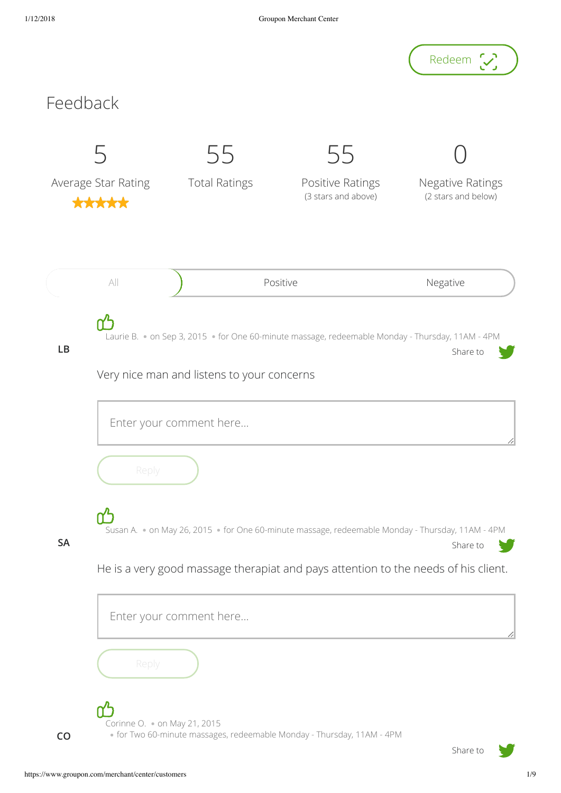

**CO**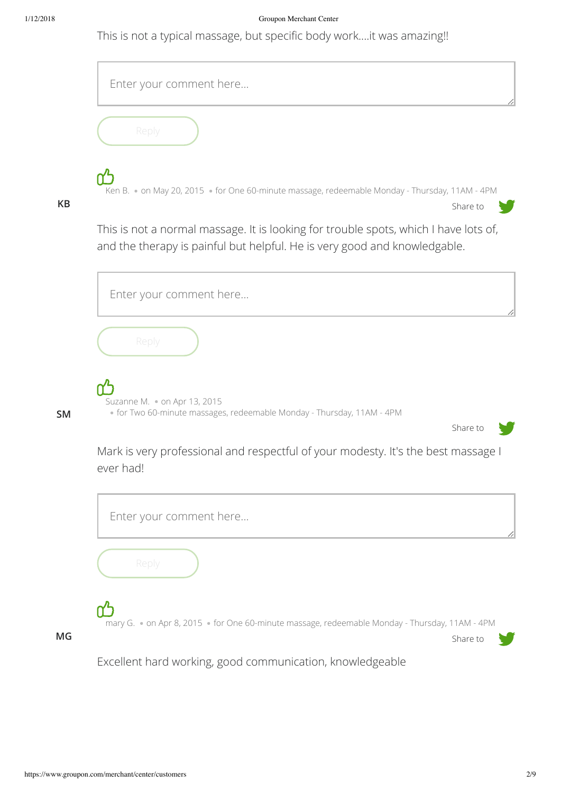This is not a typical massage, but specific body work....it was amazing!!

|           | Enter your comment here                                                                                                                                           |
|-----------|-------------------------------------------------------------------------------------------------------------------------------------------------------------------|
|           | Reply                                                                                                                                                             |
| <b>KB</b> | Ken B. • on May 20, 2015 • for One 60-minute massage, redeemable Monday - Thursday, 11AM - 4PM<br>Share to                                                        |
|           | This is not a normal massage. It is looking for trouble spots, which I have lots of,<br>and the therapy is painful but helpful. He is very good and knowledgable. |
|           | Enter your comment here                                                                                                                                           |
|           | Reply                                                                                                                                                             |
| <b>SM</b> | Suzanne M. . on Apr 13, 2015<br>• for Two 60-minute massages, redeemable Monday - Thursday, 11AM - 4PM<br>Share to                                                |
|           | Mark is very professional and respectful of your modesty. It's the best massage I<br>ever had!                                                                    |
|           | Enter your comment here                                                                                                                                           |
|           | Reply                                                                                                                                                             |
| MG        | mary G. . on Apr 8, 2015 . for One 60-minute massage, redeemable Monday - Thursday, 11AM - 4PM<br>Share to                                                        |
|           | Excellent hard working, good communication, knowledgeable                                                                                                         |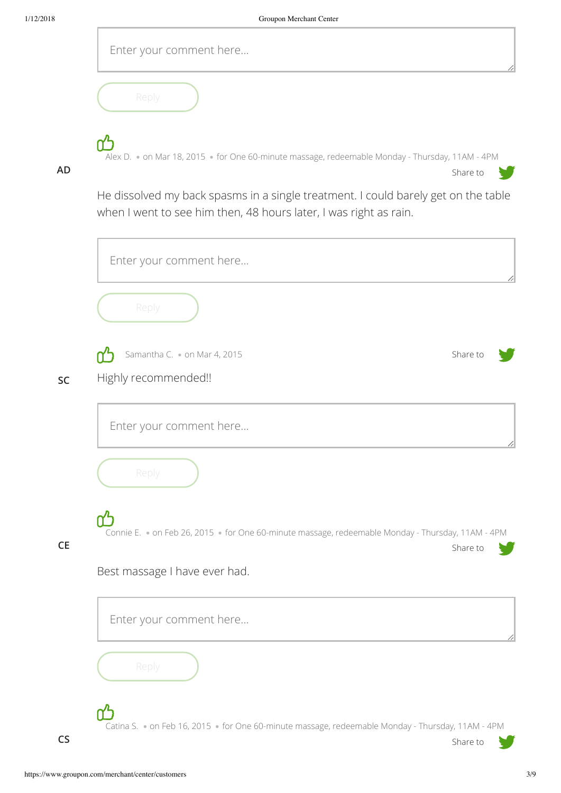| Enter your comment here                                                                         |
|-------------------------------------------------------------------------------------------------|
| Reply                                                                                           |
| Alex D. . on Mar 18, 2015 · for One 60-minute massage, redeemable Monday - Thursday, 11AM - 4PM |

**AD**

He dissolved my back spasms in a single treatment. I could barely get on the table when I went to see him then, 48 hours later, I was right as rain.

Share to

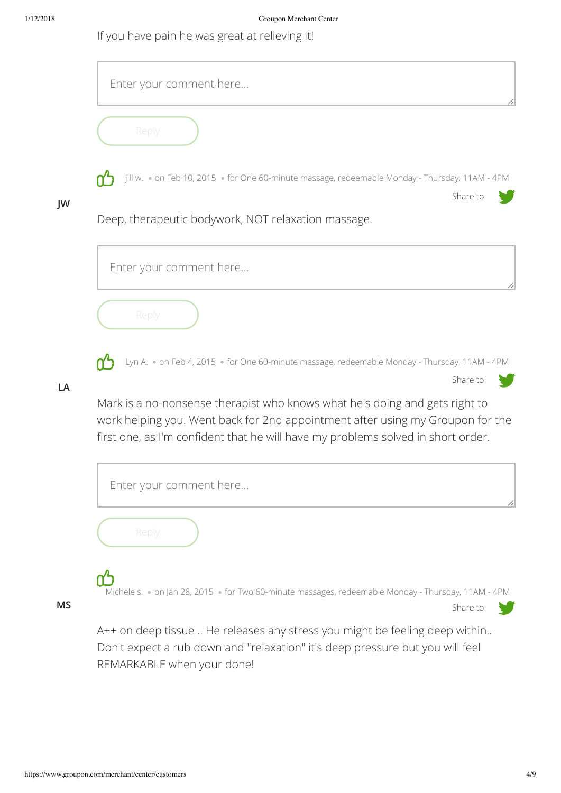If you have pain he was great at relieving it!



Don't expect a rub down and "relaxation" it's deep pressure but you will feel REMARKABLE when your done!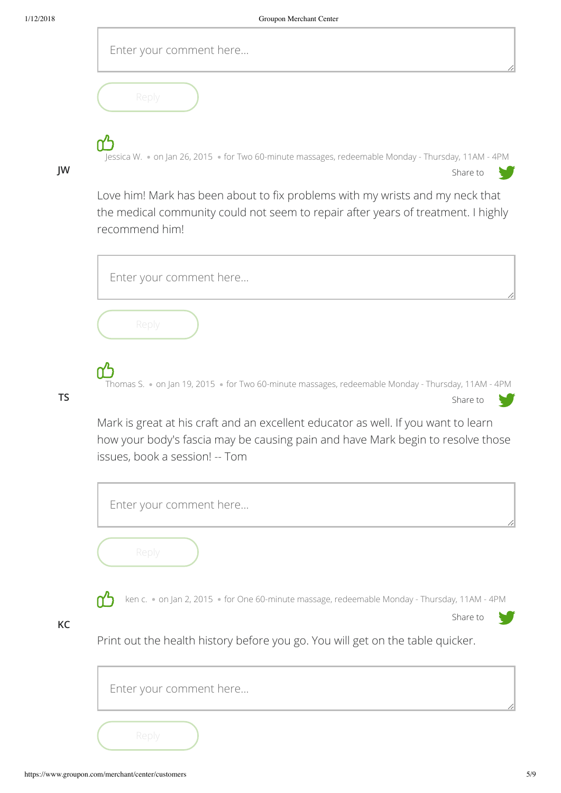| Enter your comment here |
|-------------------------|
|-------------------------|

| Replv. |
|--------|
|        |

Jessica W. • on Jan 26, 2015 • for Two 60-minute massages, redeemable Monday - Thursday, 11AM - 4PM

Share to

## **JW**

Love him! Mark has been about to fix problems with my wrists and my neck that the medical community could not seem to repair after years of treatment. I highly recommend him!



## **TS**

**KC**

Mark is great at his craft and an excellent educator as well. If you want to learn how your body's fascia may be causing pain and have Mark begin to resolve those

issues, book a session! -- Tom

| Enter your comment here                                                                                   |  |
|-----------------------------------------------------------------------------------------------------------|--|
| Reply                                                                                                     |  |
| ken c. . on Jan 2, 2015 · for One 60-minute massage, redeemable Monday - Thursday, 11AM - 4PM<br>Share to |  |
| Print out the health history before you go. You will get on the table quicker.                            |  |
| Enter your comment here                                                                                   |  |
| Reply                                                                                                     |  |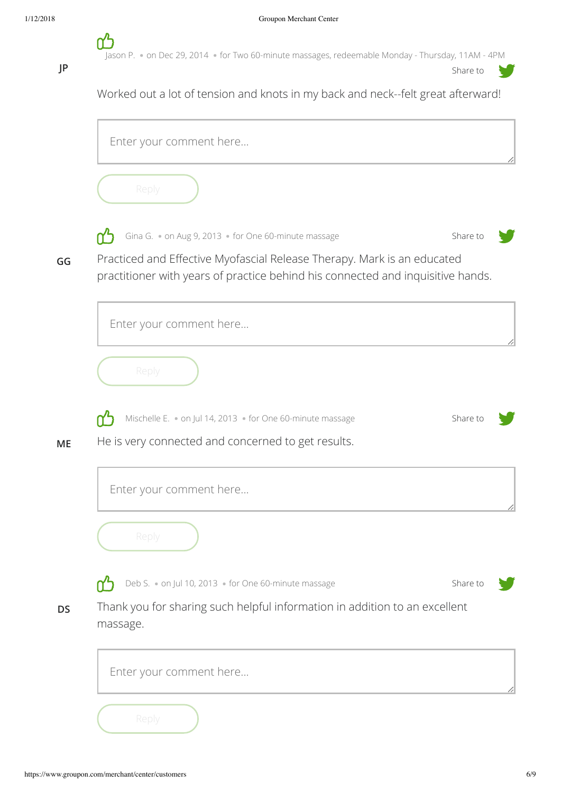Jason P. • on Dec 29, 2014 · for Two 60-minute massages, redeemable Monday - Thursday, 11AM - 4PM

**JP**

**GG**

**ME**

**DS**

Share to Worked out a lot of tension and knots in my back and neck--felt great afterward! Enter your comment here... Share to Gina G. • on Aug 9, 2013 • for One 60-minute massage Practiced and Effective Myofascial Release Therapy. Mark is an educated practitioner with years of practice behind his connected and inquisitive hands. Enter your comment here... Mischelle E. • on Jul 14, 2013 • for One 60-minute massage Share to He is very connected and concerned to get results. Enter your comment here... Deb S. • on Jul 10, 2013 • for One 60-minute massage ሰጎ Share to Thank you for sharing such helpful information in addition to an excellent massage. Enter your comment here...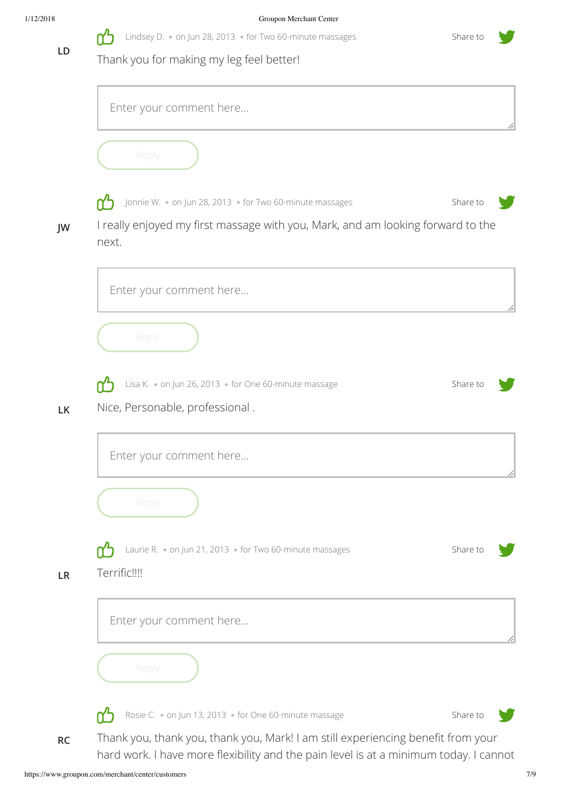| 1/12/2018 | Groupon Merchant Center                                                                               |          |
|-----------|-------------------------------------------------------------------------------------------------------|----------|
| LD        | Lindsey D. . on Jun 28, 2013 . for Two 60-minute massages<br>Thank you for making my leg feel better! | Share to |
|           | Enter your comment here                                                                               |          |



**JW**

**LK**

**LR**

Jonnie W. • on Jun 28, 2013 · for Two 60-minute massages ሰ'ነ

Share to

I really enjoyed my first massage with you, Mark, and am looking forward to the next.





Rosie C. • on Jun 13, 2013 • for One 60-minute massage

Share to

Thank you, thank you, thank you, Mark! I am still experiencing benefit from your hard work. I have more flexibility and the pain level is at a minimum today. I cannot